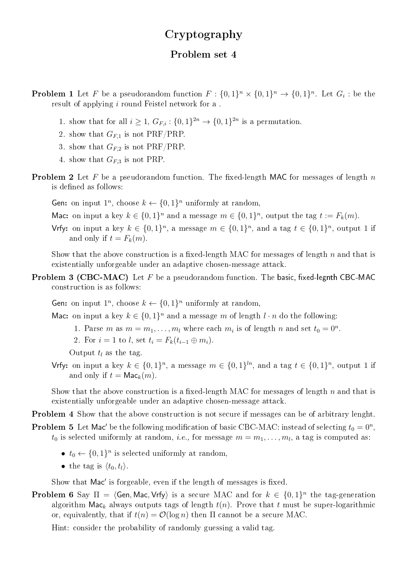## Cryptography

## Problem set 4

**Problem 1** Let F be a pseudorandom function  $F: \{0,1\}^n \times \{0,1\}^n \rightarrow \{0,1\}^n$ . Let  $G_i$ : be the result of applying i round Feistel network for a .

- 1. show that for all  $i \geq 1$ ,  $G_{F,i}: \{0,1\}^{2n} \to \{0,1\}^{2n}$  is a permutation.
- 2. show that  $G_{F,1}$  is not PRF/PRP.
- 3. show that  $G_{F,2}$  is not PRF/PRP.
- 4. show that  $G_{F,3}$  is not PRP.
- **Problem 2** Let F be a pseudorandom function. The fixed-length MAC for messages of length n is defined as follows:
	- Gen: on input  $1^n$ , choose  $k \leftarrow \{0, 1\}^n$  uniformly at random,
	- Mac: on input a key  $k \in \{0,1\}^n$  and a message  $m \in \{0,1\}^n$ , output the tag  $t := F_k(m)$ .
	- Vrfy: on input a key  $k \in \{0,1\}^n$ , a message  $m \in \{0,1\}^n$ , and a tag  $t \in \{0,1\}^n$ , output 1 if and only if  $t = F_k(m)$ .

Show that the above construction is a fixed-length MAC for messages of length  $n$  and that is existentially unforgeable under an adaptive chosen-message attack.

**Problem 3 (CBC-MAC)** Let  $F$  be a pseudorandom function. The basic, fixed-legnth CBC-MAC construction is as follows:

Gen: on input  $1^n$ , choose  $k \leftarrow \{0, 1\}^n$  uniformly at random,

Mac: on input a key  $k \in \{0,1\}^n$  and a message m of length  $l \cdot n$  do the following:

- 1. Parse m as  $m = m_1, \ldots, m_l$  where each  $m_i$  is of length n and set  $t_0 = 0^n$ .
- 2. For  $i = 1$  to l, set  $t_i = F_k(t_{i-1} \oplus m_i)$ .

Output  $t_l$  as the tag.

Vrfy: on input a key  $k \in \{0,1\}^n$ , a message  $m \in \{0,1\}^{\ln}$ , and a tag  $t \in \{0,1\}^n$ , output 1 if and only if  $t = \mathsf{Mac}_k(m)$ .

Show that the above construction is a fixed-length MAC for messages of length  $n$  and that is existentially unforgeable under an adaptive chosen-message attack.

Problem 4 Show that the above construction is not secure if messages can be of arbitrary lenght.

**Problem 5** Let Mac' be the following modification of basic CBC-MAC: instead of selecting  $t_0 = 0^n$ ,

 $t_0$  is selected uniformly at random, *i.e.*, for message  $m = m_1, \ldots, m_l$ , a tag is computed as:

- $t_0 \leftarrow \{0, 1\}^n$  is selected uniformly at random,
- the tag is  $\langle t_0, t_1 \rangle$ .

Show that Mac' is forgeable, even if the length of messages is fixed.

**Problem 6** Say  $\Pi = \langle$ **Gen, Mac, Vrfy** $\rangle$  is a secure MAC and for  $k \in \{0, 1\}^n$  the tag-generation algorithm Mac<sub>k</sub> always outputs tags of length  $t(n)$ . Prove that t must be super-logarithmic or, equivalently, that if  $t(n) = \mathcal{O}(\log n)$  then  $\Pi$  cannot be a secure MAC.

Hint: consider the probability of randomly guessing a valid tag.